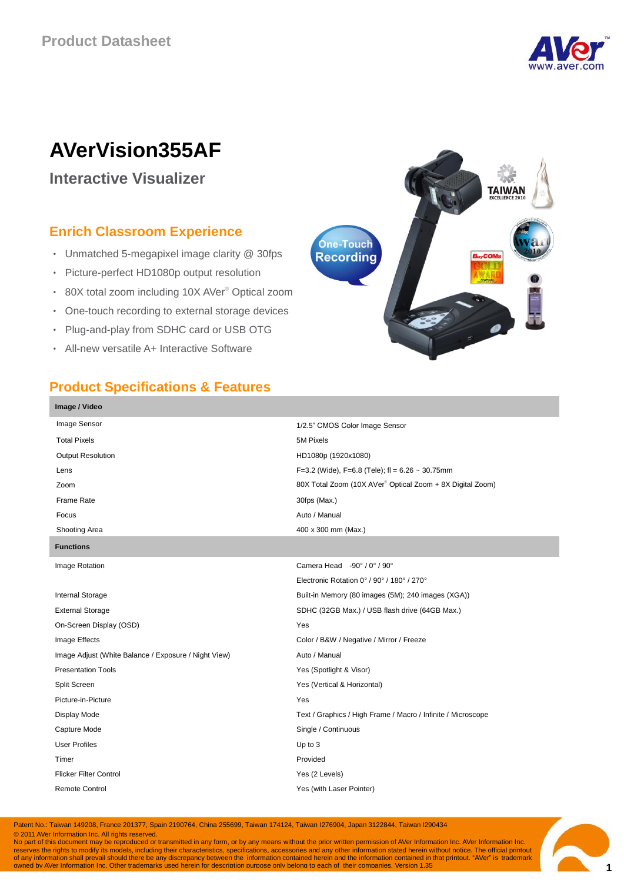

# **AVerVision355AF**

**Interactive Visualizer**

## **Enrich Classroom Experience**

- Unmatched 5-megapixel image clarity @ 30fps
- Picture-perfect HD1080p output resolution
- 80X total zoom including 10X AVer® Optical zoom
- One-touch recording to external storage devices
- Plug-and-play from SDHC card or USB OTG
- All-new versatile A+ Interactive Software



#### **Product Specifications & Features**

| Image / Video                                        |                                                                       |
|------------------------------------------------------|-----------------------------------------------------------------------|
| Image Sensor                                         | 1/2.5" CMOS Color Image Sensor                                        |
| <b>Total Pixels</b>                                  | 5M Pixels                                                             |
| <b>Output Resolution</b>                             | HD1080p (1920x1080)                                                   |
| Lens                                                 | F=3.2 (Wide), F=6.8 (Tele); fl = $6.26 \sim 30.75$ mm                 |
| Zoom                                                 | 80X Total Zoom (10X AVer <sup>®</sup> Optical Zoom + 8X Digital Zoom) |
| Frame Rate                                           | 30fps (Max.)                                                          |
| Focus                                                | Auto / Manual                                                         |
| Shooting Area                                        | 400 x 300 mm (Max.)                                                   |
| <b>Functions</b>                                     |                                                                       |
| Image Rotation                                       | Camera Head -90° / 0° / 90°                                           |
|                                                      | Electronic Rotation 0° / 90° / 180° / 270°                            |
| Internal Storage                                     | Built-in Memory (80 images (5M); 240 images (XGA))                    |
| <b>External Storage</b>                              | SDHC (32GB Max.) / USB flash drive (64GB Max.)                        |
| On-Screen Display (OSD)                              | Yes                                                                   |
| Image Effects                                        | Color / B&W / Negative / Mirror / Freeze                              |
| Image Adjust (White Balance / Exposure / Night View) | Auto / Manual                                                         |
| <b>Presentation Tools</b>                            | Yes (Spotlight & Visor)                                               |
| Split Screen                                         | Yes (Vertical & Horizontal)                                           |
| Picture-in-Picture                                   | Yes                                                                   |
| Display Mode                                         | Text / Graphics / High Frame / Macro / Infinite / Microscope          |
| Capture Mode                                         | Single / Continuous                                                   |
| <b>User Profiles</b>                                 | Up to 3                                                               |
| Timer                                                | Provided                                                              |
| <b>Flicker Filter Control</b>                        | Yes (2 Levels)                                                        |
| <b>Remote Control</b>                                | Yes (with Laser Pointer)                                              |
|                                                      |                                                                       |

Patent No.: Taiwan 149208, France 201377, Spain 2190764, China 255699, Taiwan 174124, Taiwan I276904, Japan 3122844, Taiwan I290434

© 2011 AVer Information Inc. All rights reserved.

 $\bullet$  2011 is document may be reproduced or transmitted in any form, or by any means without the prior written permission of AVer Information Inc. AVer Information Inc. reserves the rights to modify its models, including their characteristics, specifications, accessories and any other information stated herein without notice. The official printout<br>of any information shall prevail should t

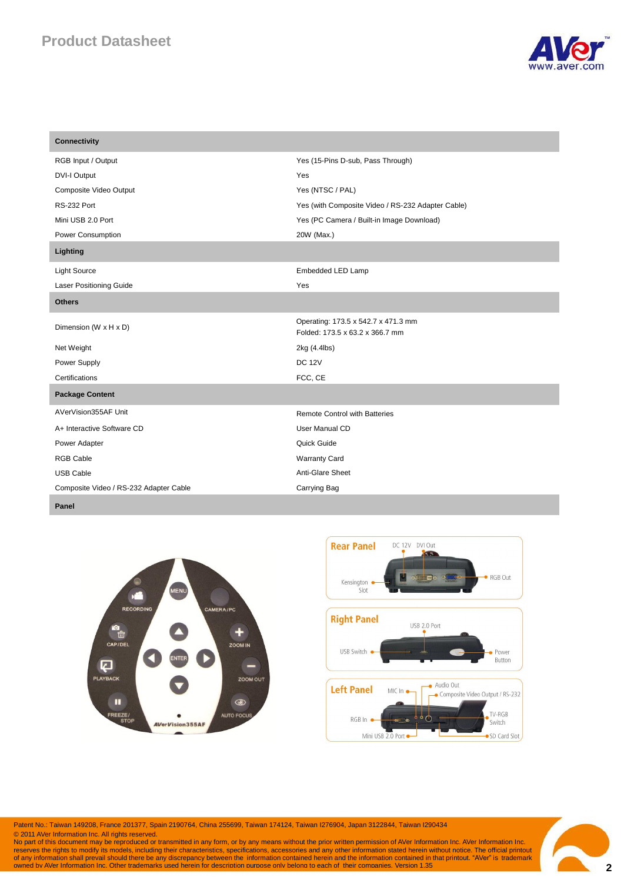# **Product Datasheet**



| <b>Connectivity</b>                    |                                                                        |
|----------------------------------------|------------------------------------------------------------------------|
| RGB Input / Output                     | Yes (15-Pins D-sub, Pass Through)                                      |
| <b>DVI-I Output</b>                    | Yes                                                                    |
| Composite Video Output                 | Yes (NTSC / PAL)                                                       |
| RS-232 Port                            | Yes (with Composite Video / RS-232 Adapter Cable)                      |
| Mini USB 2.0 Port                      | Yes (PC Camera / Built-in Image Download)                              |
| Power Consumption                      | 20W (Max.)                                                             |
| Lighting                               |                                                                        |
| <b>Light Source</b>                    | Embedded LED Lamp                                                      |
| <b>Laser Positioning Guide</b>         | Yes                                                                    |
| <b>Others</b>                          |                                                                        |
| Dimension (W x H x D)                  | Operating: 173.5 x 542.7 x 471.3 mm<br>Folded: 173.5 x 63.2 x 366.7 mm |
| Net Weight                             | 2kg (4.4lbs)                                                           |
| Power Supply                           | <b>DC 12V</b>                                                          |
| Certifications                         | FCC, CE                                                                |
| <b>Package Content</b>                 |                                                                        |
| AVerVision355AF Unit                   | <b>Remote Control with Batteries</b>                                   |
| A+ Interactive Software CD             | User Manual CD                                                         |
| Power Adapter                          | Quick Guide                                                            |
| <b>RGB Cable</b>                       | <b>Warranty Card</b>                                                   |
| <b>USB Cable</b>                       | Anti-Glare Sheet                                                       |
| Composite Video / RS-232 Adapter Cable | Carrying Bag                                                           |

**Panel**





Patent No.: Taiwan 149208, France 201377, Spain 2190764, China 255699, Taiwan 174124, Taiwan I276904, Japan 3122844, Taiwan I290434

© 2011 AVer Information Inc. All rights reserved.<br>No part of this document may be reproduced or transmitted in any form, or by any means without the prior written permission of AVer Information Inc. AVer Information Inc.<br>r